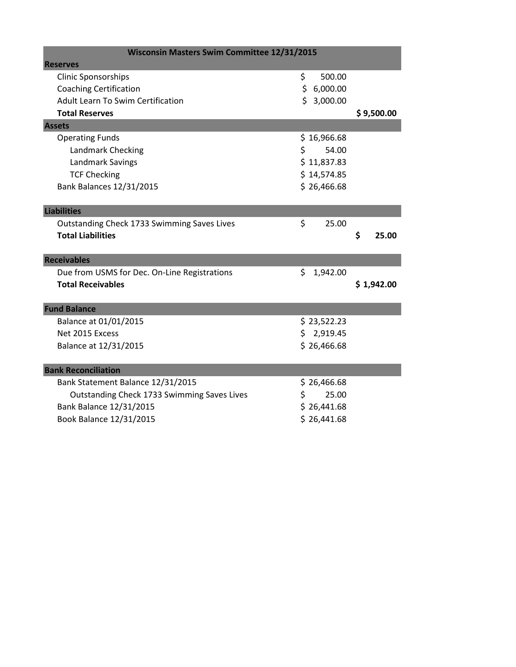| <b>Wisconsin Masters Swim Committee 12/31/2015</b> |    |             |    |            |
|----------------------------------------------------|----|-------------|----|------------|
| <b>Reserves</b>                                    |    |             |    |            |
| <b>Clinic Sponsorships</b>                         | \$ | 500.00      |    |            |
| <b>Coaching Certification</b>                      |    | \$6,000.00  |    |            |
| <b>Adult Learn To Swim Certification</b>           |    | \$3,000.00  |    |            |
| <b>Total Reserves</b>                              |    |             |    | \$9,500.00 |
| <b>Assets</b>                                      |    |             |    |            |
| <b>Operating Funds</b>                             |    | \$16,966.68 |    |            |
| Landmark Checking                                  | \$ | 54.00       |    |            |
| <b>Landmark Savings</b>                            |    | \$11,837.83 |    |            |
| <b>TCF Checking</b>                                |    | \$14,574.85 |    |            |
| <b>Bank Balances 12/31/2015</b>                    |    | \$26,466.68 |    |            |
|                                                    |    |             |    |            |
| <b>Liabilities</b>                                 |    |             |    |            |
| Outstanding Check 1733 Swimming Saves Lives        | \$ | 25.00       |    |            |
| <b>Total Liabilities</b>                           |    |             | \$ | 25.00      |
|                                                    |    |             |    |            |
| <b>Receivables</b>                                 |    |             |    |            |
| Due from USMS for Dec. On-Line Registrations       | \$ | 1,942.00    |    |            |
| <b>Total Receivables</b>                           |    |             |    | \$1,942.00 |
|                                                    |    |             |    |            |
| <b>Fund Balance</b>                                |    |             |    |            |
| Balance at 01/01/2015                              |    | \$23,522.23 |    |            |
| Net 2015 Excess                                    |    | \$2,919.45  |    |            |
| Balance at 12/31/2015                              |    | \$26,466.68 |    |            |
|                                                    |    |             |    |            |
| <b>Bank Reconciliation</b>                         |    |             |    |            |
| Bank Statement Balance 12/31/2015                  |    | \$26,466.68 |    |            |
| Outstanding Check 1733 Swimming Saves Lives        | \$ | 25.00       |    |            |
| Bank Balance 12/31/2015                            |    | \$26,441.68 |    |            |
| Book Balance 12/31/2015                            |    | \$26,441.68 |    |            |